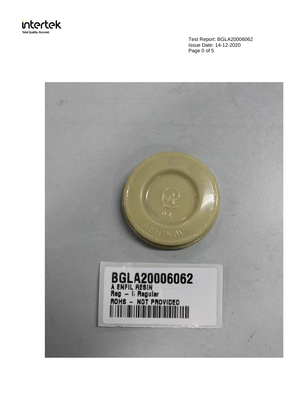

Test Report: BGLA20006062 Issue Date: 14-12-2020 Page 0 of 5

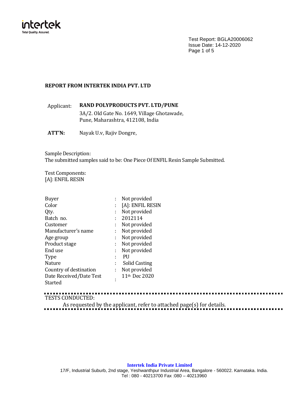

Test Report: BGLA20006062 Issue Date: 14-12-2020 Page 1 of 5

# **REPORT FROM INTERTEK INDIA PVT. LTD**

Applicant: **RAND POLYPRODUCTS PVT. LTD/PUNE** 3A/2. Old Gate No. 1649, Village Ghotawade, Pune, Maharashtra, 412108, India

**ATT'N:** Nayak U.v, Rajiv Dongre,

Sample Description: The submitted samples said to be: One Piece Of ENFIL Resin Sample Submitted.

Test Components: [A]: ENFIL RESIN

| Buyer                   |    | Not provided              |
|-------------------------|----|---------------------------|
| Color                   |    | [A]: ENFIL RESIN          |
| Qty.                    | ÷  | Not provided              |
| Batch no.               | ÷  | 2012114                   |
| Customer                | t  | Not provided              |
| Manufacturer's name     | ÷  | Not provided              |
| Age group               | ÷  | Not provided              |
| Product stage           | ÷  | Not provided              |
| End use                 | ÷  | Not provided              |
| <b>Type</b>             |    | PU                        |
| Nature                  | ÷  | Solid Casting             |
| Country of destination  | ÷. | Not provided              |
| Date Received/Date Test |    | 11 <sup>th</sup> Dec 2020 |
| Started                 |    |                           |

TESTS CONDUCTED:

As requested by the applicant, refer to attached page(s) for details.

## **Intertek India Private Limited**

17/F, Industrial Suburb, 2nd stage, Yeshwanthpur Industrial Area, Bangalore - 560022. Karnataka. India. Tel : 080 - 40213700 Fax :080 – 40213960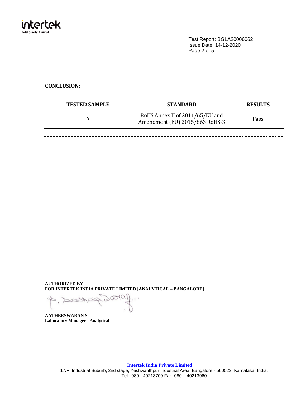

Test Report: BGLA20006062 Issue Date: 14-12-2020 Page 2 of 5

# **CONCLUSION:**

---------

| <b>TESTED SAMPLE</b> | <b>STANDARD</b>                                                   | <b>RESULTS</b> |
|----------------------|-------------------------------------------------------------------|----------------|
|                      | RoHS Annex II of 2011/65/EU and<br>Amendment (EU) 2015/863 RoHS-3 | Pass           |

**AUTHORIZED BY FOR INTERTEK INDIA PRIVATE LIMITED [ANALYTICAL – BANGALORE]**

**PEEZU** 

**AATHEESWARAN S Laboratory Manager - Analytical**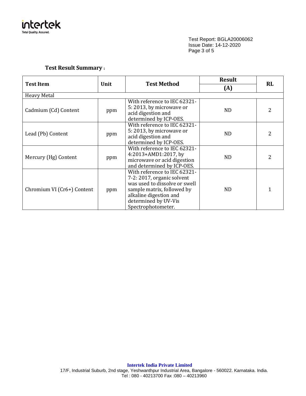

Test Report: BGLA20006062 Issue Date: 14-12-2020 Page 3 of 5

# **Test Result Summary :**

|                            | <b>Test Method</b> |                                                                                                                                                                                                   | <b>Result</b> | <b>RL</b> |  |
|----------------------------|--------------------|---------------------------------------------------------------------------------------------------------------------------------------------------------------------------------------------------|---------------|-----------|--|
| <b>Test Item</b><br>Unit   |                    | (A)                                                                                                                                                                                               |               |           |  |
| <b>Heavy Metal</b>         |                    |                                                                                                                                                                                                   |               |           |  |
| Cadmium (Cd) Content       | ppm                | With reference to IEC 62321-<br>5: 2013, by microwave or<br>acid digestion and<br>determined by ICP-OES.                                                                                          | ND.           | 2         |  |
| Lead (Pb) Content          | ppm                | With reference to IEC 62321-<br>5:2013, by microwave or<br>acid digestion and<br>determined by ICP-OES.                                                                                           | ND.           | 2         |  |
| Mercury (Hg) Content       | ppm                | With reference to IEC 62321-<br>4:2013+AMD1:2017, by<br>microwave or acid digestion<br>and determined by ICP-OES.                                                                                 | <b>ND</b>     | 2         |  |
| Chromium VI (Cr6+) Content | ppm                | With reference to IEC 62321-<br>7-2: 2017, organic solvent<br>was used to dissolve or swell<br>sample matrix, followed by<br>alkaline digestion and<br>determined by UV-Vis<br>Spectrophotometer. | ND.           | 1         |  |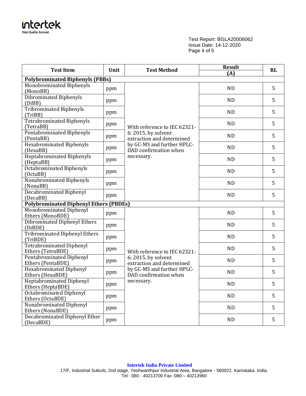

Test Report: BGLA20006062 Issue Date: 14-12-2020 Page 4 of 5

| <b>Test Item</b>                                     | Unit | <b>Test Method</b>                                                                                                                                    | <b>Result</b><br>(A) | RL |
|------------------------------------------------------|------|-------------------------------------------------------------------------------------------------------------------------------------------------------|----------------------|----|
| <b>Polybrominated Biphenyls (PBBs)</b>               |      |                                                                                                                                                       |                      |    |
| Monobrominated Biphenyls<br>(MonoBB)                 | ppm  |                                                                                                                                                       | <b>ND</b>            | 5  |
| Dibrominated Biphenyls<br>(DiBB)                     | ppm  |                                                                                                                                                       | <b>ND</b>            | 5  |
| Tribrominated Biphenyls<br>(TriBB)                   | ppm  |                                                                                                                                                       | <b>ND</b>            | 5  |
| Tetrabrominated Biphenyls<br>(TetraBB)               | ppm  | With reference to IEC 62321-                                                                                                                          | <b>ND</b>            | 5  |
| Pentabrominated Biphenyls<br>(PentaBB)               | ppm  | 6: 2015, by solvent<br>extraction and determined                                                                                                      | <b>ND</b>            | 5  |
| <b>Hexabrominated Biphenyls</b><br>(HexaBB)          | ppm  | by GC-MS and further HPLC-<br>DAD confirmation when                                                                                                   | <b>ND</b>            | 5  |
| <b>Heptabrominated Biphenyls</b><br>(HeptaBB)        | ppm  | necessary.                                                                                                                                            | <b>ND</b>            | 5  |
| <b>Octabrominated Biphenyls</b><br>(OctaBB)          | ppm  |                                                                                                                                                       | <b>ND</b>            | 5  |
| Nonabrominated Biphenyls<br>(NonaBB)                 | ppm  |                                                                                                                                                       | <b>ND</b>            | 5  |
| <b>Decabrominated Biphenyl</b><br>(DecaBB)           | ppm  |                                                                                                                                                       | <b>ND</b>            | 5  |
| <b>Polybrominated Diphenyl Ethers (PBDEs)</b>        |      |                                                                                                                                                       |                      |    |
| Monobrominated Diphenyl<br>Ethers (MonoBDE)          | ppm  |                                                                                                                                                       | <b>ND</b>            | 5  |
| Dibrominated Diphenyl Ethers<br>(DiBDE)              | ppm  |                                                                                                                                                       | <b>ND</b>            | 5  |
| <b>Tribrominated Diphenyl Ethers</b><br>(TriBDE)     | ppm  |                                                                                                                                                       | <b>ND</b>            | 5  |
| <b>Tetrabrominated Diphenyl</b><br>Ethers (TetraBDE) | ppm  | With reference to IEC 62321-<br>6: 2015, by solvent<br>extraction and determined<br>by GC-MS and further HPLC-<br>DAD confirmation when<br>necessary. | ND                   | 5  |
| <b>Pentabrominated Diphenyl</b><br>Ethers (PentaBDE) | ppm  |                                                                                                                                                       | <b>ND</b>            | 5  |
| <b>Hexabrominated Diphenyl</b><br>Ethers (HexaBDE)   | ppm  |                                                                                                                                                       | ND                   | 5  |
| <b>Heptabrominated Diphenyl</b><br>Ethers (HeptaBDE) | ppm  |                                                                                                                                                       | ND                   | 5  |
| <b>Octabrominated Diphenyl</b><br>Ethers (OctaBDE)   | ppm  |                                                                                                                                                       | <b>ND</b>            | 5  |
| Nonabrominated Diphenyl<br>Ethers (NonaBDE)          | ppm  |                                                                                                                                                       | ND                   | 5  |
| <b>Decabrominated Diphenyl Ether</b><br>(DecaBDE)    | ppm  |                                                                                                                                                       | <b>ND</b>            | 5  |